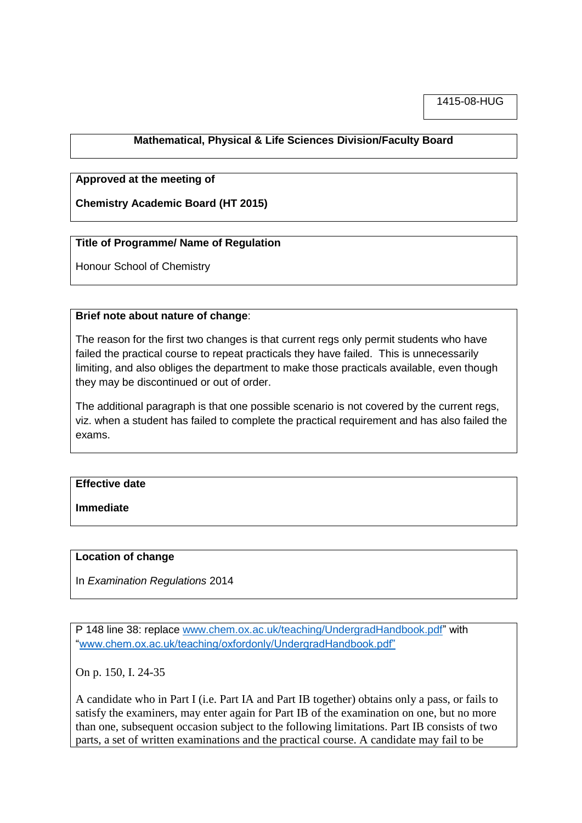# **Mathematical, Physical & Life Sciences Division/Faculty Board**

### **Approved at the meeting of**

**Chemistry Academic Board (HT 2015)**

### **Title of Programme/ Name of Regulation**

Honour School of Chemistry

#### **Brief note about nature of change**:

The reason for the first two changes is that current regs only permit students who have failed the practical course to repeat practicals they have failed. This is unnecessarily limiting, and also obliges the department to make those practicals available, even though they may be discontinued or out of order.

The additional paragraph is that one possible scenario is not covered by the current regs, viz. when a student has failed to complete the practical requirement and has also failed the exams.

# **Effective date**

**Immediate**

### **Location of change**

In *Examination Regulations* 2014

P 148 line 38: replace [www.chem.ox.ac.uk/teaching/UndergradHandbook.pdf"](http://www.chem.ox.ac.uk/teaching/UndergradHandbook.pdf) with ["www.chem.ox.ac.uk/teaching/oxfordonly/UndergradHandbook.pdf"](http://www.chem.ox.ac.uk/teaching/oxfordonly/UndergradHandbook.pdf”)

On p. 150, I. 24-35

A candidate who in Part I (i.e. Part IA and Part IB together) obtains only a pass, or fails to satisfy the examiners, may enter again for Part IB of the examination on one, but no more than one, subsequent occasion subject to the following limitations. Part IB consists of two parts, a set of written examinations and the practical course. A candidate may fail to be